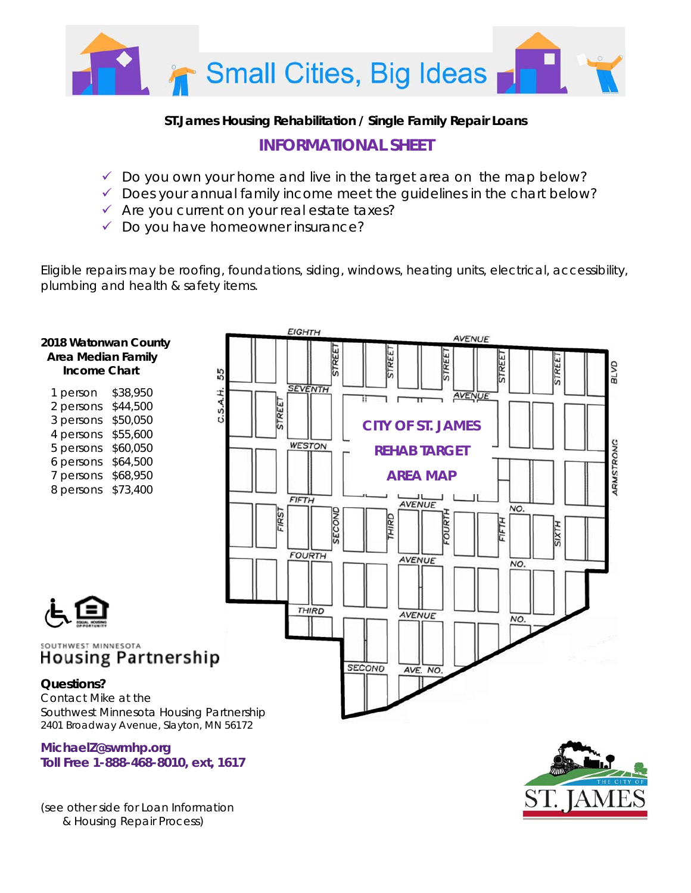

### **ST.James Housing Rehabilitation / Single Family Repair Loans**

# **INFORMATIONAL SHEET**

- $\checkmark$  Do you own your home and live in the target area on the map below?
- $\checkmark$  Does your annual family income meet the guidelines in the chart below?
- $\checkmark$  Are you current on your real estate taxes?
- $\checkmark$  Do you have homeowner insurance?

Eligible repairs may be roofing, foundations, siding, windows, heating units, electrical, accessibility, plumbing and health & safety items.



| 1 person  | \$38,950 |
|-----------|----------|
| 2 persons | \$44,500 |
| 3 persons | \$50,050 |
| 4 persons | \$55,600 |
| 5 persons | \$60,050 |
| 6 persons | \$64,500 |
| 7 persons | \$68,950 |
| 8 persons | \$73,400 |
|           |          |





#### SOUTHWEST MINNESOTA **Housing Partnership**

#### **Questions?**

Contact Mike at the Southwest Minnesota Housing Partnership 2401 Broadway Avenue, Slayton, MN 56172

**MichaelZ@swmhp.org Toll Free 1-888-468-8010, ext, 1617** 

*(see other side for Loan Information & Housing Repair Process)*